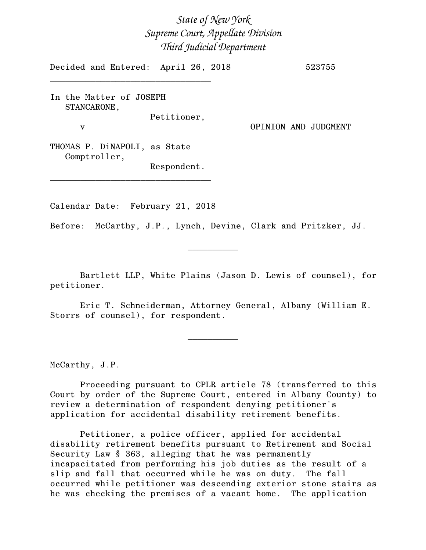## *State of New York Supreme Court, Appellate Division Third Judicial Department*

Decided and Entered: April 26, 2018 523755

In the Matter of JOSEPH STANCARONE, Petitioner,

\_\_\_\_\_\_\_\_\_\_\_\_\_\_\_\_\_\_\_\_\_\_\_\_\_\_\_\_\_\_\_\_

v OPINION AND JUDGMENT

THOMAS P. DiNAPOLI, as State Comptroller,

Respondent.

Calendar Date: February 21, 2018

\_\_\_\_\_\_\_\_\_\_\_\_\_\_\_\_\_\_\_\_\_\_\_\_\_\_\_\_\_\_\_\_

Before: McCarthy, J.P., Lynch, Devine, Clark and Pritzker, JJ.

Bartlett LLP, White Plains (Jason D. Lewis of counsel), for petitioner.

 $\frac{1}{2}$ 

Eric T. Schneiderman, Attorney General, Albany (William E. Storrs of counsel), for respondent.

 $\frac{1}{2}$ 

McCarthy, J.P.

Proceeding pursuant to CPLR article 78 (transferred to this Court by order of the Supreme Court, entered in Albany County) to review a determination of respondent denying petitioner's application for accidental disability retirement benefits.

Petitioner, a police officer, applied for accidental disability retirement benefits pursuant to Retirement and Social Security Law § 363, alleging that he was permanently incapacitated from performing his job duties as the result of a slip and fall that occurred while he was on duty. The fall occurred while petitioner was descending exterior stone stairs as he was checking the premises of a vacant home. The application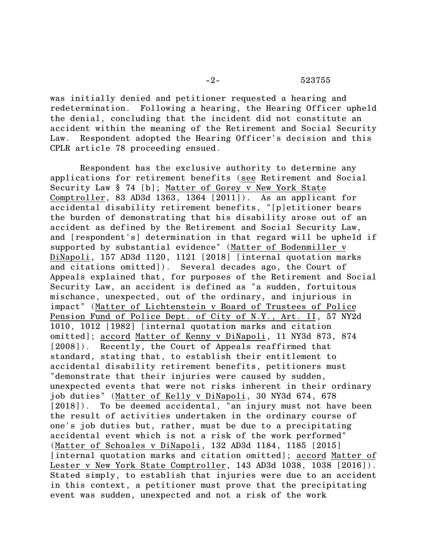-2- 523755

was initially denied and petitioner requested a hearing and redetermination. Following a hearing, the Hearing Officer upheld the denial, concluding that the incident did not constitute an accident within the meaning of the Retirement and Social Security Law. Respondent adopted the Hearing Officer's decision and this CPLR article 78 proceeding ensued.

Respondent has the exclusive authority to determine any applications for retirement benefits (see Retirement and Social Security Law § 74 [b]; Matter of Gorey v New York State Comptroller, 83 AD3d 1363, 1364 [2011]). As an applicant for accidental disability retirement benefits, "[p]etitioner bears the burden of demonstrating that his disability arose out of an accident as defined by the Retirement and Social Security Law, and [respondent's] determination in that regard will be upheld if supported by substantial evidence" (Matter of Bodenmiller v DiNapoli, 157 AD3d 1120, 1121 [2018] [internal quotation marks and citations omitted]). Several decades ago, the Court of Appeals explained that, for purposes of the Retirement and Social Security Law, an accident is defined as "a sudden, fortuitous mischance, unexpected, out of the ordinary, and injurious in impact" (Matter of Lichtenstein v Board of Trustees of Police Pension Fund of Police Dept. of City of N.Y., Art. II, 57 NY2d 1010, 1012 [1982] [internal quotation marks and citation omitted]; accord Matter of Kenny v DiNapoli, 11 NY3d 873, 874 [2008]). Recently, the Court of Appeals reaffirmed that standard, stating that, to establish their entitlement to accidental disability retirement benefits, petitioners must "demonstrate that their injuries were caused by sudden, unexpected events that were not risks inherent in their ordinary job duties" (Matter of Kelly v DiNapoli, 30 NY3d 674, 678 [2018]). To be deemed accidental, "an injury must not have been the result of activities undertaken in the ordinary course of one's job duties but, rather, must be due to a precipitating accidental event which is not a risk of the work performed" (Matter of Schoales v DiNapoli, 132 AD3d 1184, 1185 [2015] [internal quotation marks and citation omitted]; accord Matter of Lester v New York State Comptroller, 143 AD3d 1038, 1038 [2016]). Stated simply, to establish that injuries were due to an accident in this context, a petitioner must prove that the precipitating event was sudden, unexpected and not a risk of the work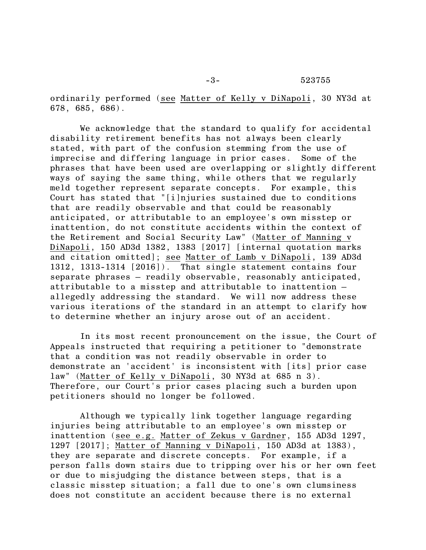-3- 523755

ordinarily performed (see Matter of Kelly v DiNapoli, 30 NY3d at 678, 685, 686).

We acknowledge that the standard to qualify for accidental disability retirement benefits has not always been clearly stated, with part of the confusion stemming from the use of imprecise and differing language in prior cases. Some of the phrases that have been used are overlapping or slightly different ways of saying the same thing, while others that we regularly meld together represent separate concepts. For example, this Court has stated that "[i]njuries sustained due to conditions that are readily observable and that could be reasonably anticipated, or attributable to an employee's own misstep or inattention, do not constitute accidents within the context of the Retirement and Social Security Law" (Matter of Manning v DiNapoli, 150 AD3d 1382, 1383 [2017] [internal quotation marks and citation omitted]; see Matter of Lamb v DiNapoli, 139 AD3d 1312, 1313-1314 [2016]). That single statement contains four separate phrases – readily observable, reasonably anticipated, attributable to a misstep and attributable to inattention – allegedly addressing the standard. We will now address these various iterations of the standard in an attempt to clarify how to determine whether an injury arose out of an accident.

In its most recent pronouncement on the issue, the Court of Appeals instructed that requiring a petitioner to "demonstrate that a condition was not readily observable in order to demonstrate an 'accident' is inconsistent with [its] prior case law" (Matter of Kelly v DiNapoli, 30 NY3d at 685 n 3). Therefore, our Court's prior cases placing such a burden upon petitioners should no longer be followed.

Although we typically link together language regarding injuries being attributable to an employee's own misstep or inattention (see e.g. Matter of Zekus v Gardner, 155 AD3d 1297, 1297 [2017]; Matter of Manning v DiNapoli, 150 AD3d at 1383), they are separate and discrete concepts. For example, if a person falls down stairs due to tripping over his or her own feet or due to misjudging the distance between steps, that is a classic misstep situation; a fall due to one's own clumsiness does not constitute an accident because there is no external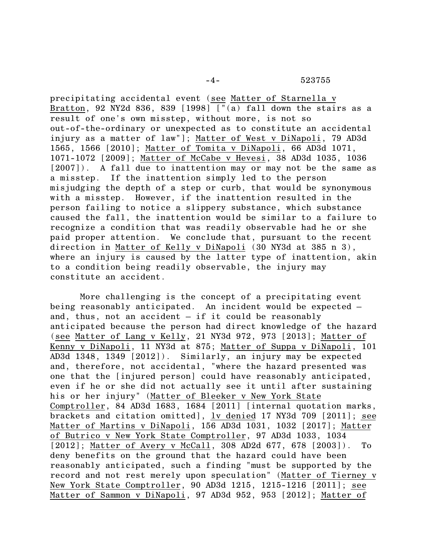precipitating accidental event (see Matter of Starnella v Bratton, 92 NY2d 836, 839 [1998]  $["(a)$  fall down the stairs as a result of one's own misstep, without more, is not so out-of-the-ordinary or unexpected as to constitute an accidental injury as a matter of law"]; Matter of West v DiNapoli, 79 AD3d 1565, 1566 [2010]; Matter of Tomita v DiNapoli, 66 AD3d 1071, 1071-1072 [2009]; Matter of McCabe v Hevesi, 38 AD3d 1035, 1036 [2007]). A fall due to inattention may or may not be the same as a misstep. If the inattention simply led to the person misjudging the depth of a step or curb, that would be synonymous with a misstep. However, if the inattention resulted in the person failing to notice a slippery substance, which substance caused the fall, the inattention would be similar to a failure to recognize a condition that was readily observable had he or she paid proper attention. We conclude that, pursuant to the recent direction in Matter of Kelly v DiNapoli (30 NY3d at 385 n 3), where an injury is caused by the latter type of inattention, akin to a condition being readily observable, the injury may constitute an accident.

More challenging is the concept of a precipitating event being reasonably anticipated. An incident would be expected – and, thus, not an accident – if it could be reasonably anticipated because the person had direct knowledge of the hazard (see Matter of Lang v Kelly, 21 NY3d 972, 973 [2013]; Matter of Kenny v DiNapoli, 11 NY3d at 875; Matter of Suppa v DiNapoli, 101 AD3d 1348, 1349 [2012]). Similarly, an injury may be expected and, therefore, not accidental, "where the hazard presented was one that the [injured person] could have reasonably anticipated, even if he or she did not actually see it until after sustaining his or her injury" (Matter of Bleeker v New York State Comptroller, 84 AD3d 1683, 1684 [2011] [internal quotation marks, brackets and citation omitted], <u>lv denied</u> 17 NY3d 709 [2011]; see Matter of Martins v DiNapoli, 156 AD3d 1031, 1032 [2017]; Matter of Butrico v New York State Comptroller, 97 AD3d 1033, 1034 [2012]; Matter of Avery v McCall, 308 AD2d 677, 678 [2003]). To deny benefits on the ground that the hazard could have been reasonably anticipated, such a finding "must be supported by the record and not rest merely upon speculation" (Matter of Tierney v New York State Comptroller, 90 AD3d 1215, 1215-1216 [2011]; see Matter of Sammon v DiNapoli, 97 AD3d 952, 953 [2012]; Matter of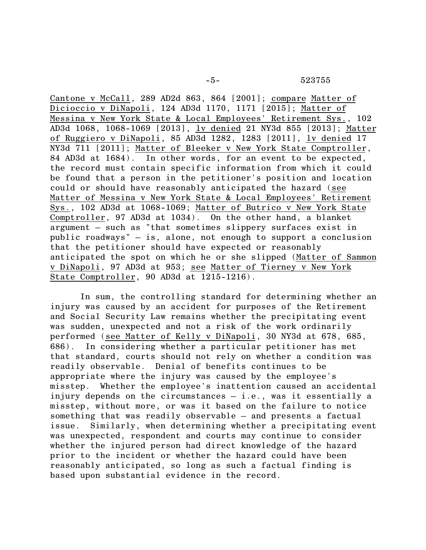Cantone v McCall, 289 AD2d 863, 864 [2001]; compare Matter of Dicioccio v DiNapoli, 124 AD3d 1170, 1171 [2015]; Matter of Messina v New York State & Local Employees' Retirement Sys., 102 AD3d 1068, 1068-1069 [2013], lv denied 21 NY3d 855 [2013]; Matter of Ruggiero v DiNapoli, 85 AD3d 1282, 1283 [2011], lv denied 17 NY3d 711 [2011]; Matter of Bleeker v New York State Comptroller, 84 AD3d at 1684). In other words, for an event to be expected, the record must contain specific information from which it could be found that a person in the petitioner's position and location could or should have reasonably anticipated the hazard (see Matter of Messina v New York State & Local Employees' Retirement Sys., 102 AD3d at 1068-1069; Matter of Butrico v New York State Comptroller, 97 AD3d at 1034). On the other hand, a blanket argument – such as "that sometimes slippery surfaces exist in public roadways" – is, alone, not enough to support a conclusion that the petitioner should have expected or reasonably anticipated the spot on which he or she slipped (Matter of Sammon v DiNapoli, 97 AD3d at 953; see Matter of Tierney v New York State Comptroller, 90 AD3d at 1215-1216).

In sum, the controlling standard for determining whether an injury was caused by an accident for purposes of the Retirement and Social Security Law remains whether the precipitating event was sudden, unexpected and not a risk of the work ordinarily performed (see Matter of Kelly v DiNapoli, 30 NY3d at 678, 685, 686). In considering whether a particular petitioner has met that standard, courts should not rely on whether a condition was readily observable. Denial of benefits continues to be appropriate where the injury was caused by the employee's misstep. Whether the employee's inattention caused an accidental injury depends on the circumstances – i.e., was it essentially a misstep, without more, or was it based on the failure to notice something that was readily observable – and presents a factual issue. Similarly, when determining whether a precipitating event was unexpected, respondent and courts may continue to consider whether the injured person had direct knowledge of the hazard prior to the incident or whether the hazard could have been reasonably anticipated, so long as such a factual finding is based upon substantial evidence in the record.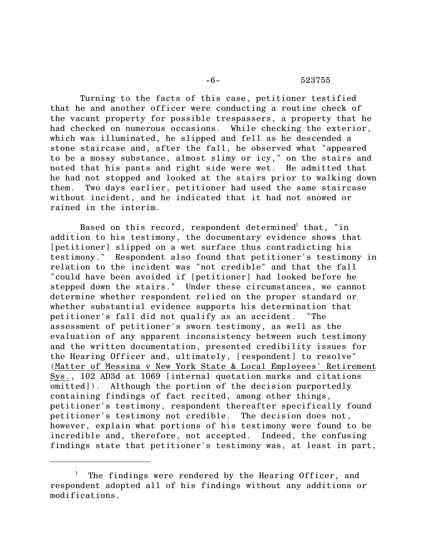## -6- 523755

Turning to the facts of this case, petitioner testified that he and another officer were conducting a routine check of the vacant property for possible trespassers, a property that he had checked on numerous occasions. While checking the exterior, which was illuminated, he slipped and fell as he descended a stone staircase and, after the fall, he observed what "appeared to be a mossy substance, almost slimy or icy," on the stairs and noted that his pants and right side were wet. He admitted that he had not stopped and looked at the stairs prior to walking down them. Two days earlier, petitioner had used the same staircase without incident, and he indicated that it had not snowed or rained in the interim.

Based on this record, respondent determined<sup>1</sup> that, "in addition to his testimony, the documentary evidence shows that [petitioner] slipped on a wet surface thus contradicting his testimony." Respondent also found that petitioner's testimony in relation to the incident was "not credible" and that the fall "could have been avoided if [petitioner] had looked before he stepped down the stairs." Under these circumstances, we cannot determine whether respondent relied on the proper standard or whether substantial evidence supports his determination that petitioner's fall did not qualify as an accident. "The assessment of petitioner's sworn testimony, as well as the evaluation of any apparent inconsistency between such testimony and the written documentation, presented credibility issues for the Hearing Officer and, ultimately, [respondent] to resolve" (Matter of Messina v New York State & Local Employees' Retirement Sys., 102 AD3d at 1069 [internal quotation marks and citations omitted]). Although the portion of the decision purportedly containing findings of fact recited, among other things, petitioner's testimony, respondent thereafter specifically found petitioner's testimony not credible. The decision does not, however, explain what portions of his testimony were found to be incredible and, therefore, not accepted. Indeed, the confusing findings state that petitioner's testimony was, at least in part,

 $1$  The findings were rendered by the Hearing Officer, and respondent adopted all of his findings without any additions or modifications.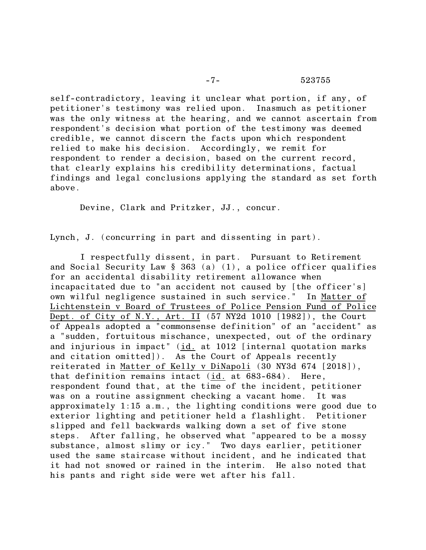self-contradictory, leaving it unclear what portion, if any, of petitioner's testimony was relied upon. Inasmuch as petitioner was the only witness at the hearing, and we cannot ascertain from respondent's decision what portion of the testimony was deemed credible, we cannot discern the facts upon which respondent relied to make his decision. Accordingly, we remit for respondent to render a decision, based on the current record, that clearly explains his credibility determinations, factual findings and legal conclusions applying the standard as set forth above.

Devine, Clark and Pritzker, JJ., concur.

Lynch, J. (concurring in part and dissenting in part).

I respectfully dissent, in part. Pursuant to Retirement and Social Security Law § 363 (a) (1), a police officer qualifies for an accidental disability retirement allowance when incapacitated due to "an accident not caused by [the officer's] own wilful negligence sustained in such service." In Matter of Lichtenstein v Board of Trustees of Police Pension Fund of Police Dept. of City of N.Y., Art. II (57 NY2d 1010 [1982]), the Court of Appeals adopted a "commonsense definition" of an "accident" as a "sudden, fortuitous mischance, unexpected, out of the ordinary and injurious in impact" (id. at 1012 [internal quotation marks and citation omitted]). As the Court of Appeals recently reiterated in Matter of Kelly v DiNapoli (30 NY3d 674 [2018]), that definition remains intact (id. at 683-684). Here, respondent found that, at the time of the incident, petitioner was on a routine assignment checking a vacant home. It was approximately 1:15 a.m., the lighting conditions were good due to exterior lighting and petitioner held a flashlight. Petitioner slipped and fell backwards walking down a set of five stone steps. After falling, he observed what "appeared to be a mossy substance, almost slimy or icy." Two days earlier, petitioner used the same staircase without incident, and he indicated that it had not snowed or rained in the interim. He also noted that his pants and right side were wet after his fall.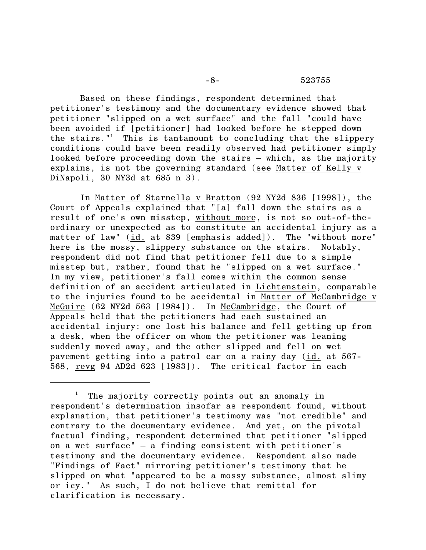Based on these findings, respondent determined that petitioner's testimony and the documentary evidence showed that petitioner "slipped on a wet surface" and the fall "could have been avoided if [petitioner] had looked before he stepped down the stairs."<sup>1</sup> This is tantamount to concluding that the slippery conditions could have been readily observed had petitioner simply looked before proceeding down the stairs – which, as the majority explains, is not the governing standard (see Matter of Kelly v DiNapoli, 30 NY3d at 685 n 3).

In Matter of Starnella v Bratton (92 NY2d 836 [1998]), the Court of Appeals explained that "[a] fall down the stairs as a result of one's own misstep, without more, is not so out-of-theordinary or unexpected as to constitute an accidental injury as a matter of law" (id. at 839 [emphasis added]). The "without more" here is the mossy, slippery substance on the stairs. Notably, respondent did not find that petitioner fell due to a simple misstep but, rather, found that he "slipped on a wet surface." In my view, petitioner's fall comes within the common sense definition of an accident articulated in Lichtenstein, comparable to the injuries found to be accidental in Matter of McCambridge v McGuire (62 NY2d 563 [1984]). In McCambridge, the Court of Appeals held that the petitioners had each sustained an accidental injury: one lost his balance and fell getting up from a desk, when the officer on whom the petitioner was leaning suddenly moved away, and the other slipped and fell on wet pavement getting into a patrol car on a rainy day (id. at 567- 568, revg 94 AD2d 623 [1983]). The critical factor in each

The majority correctly points out an anomaly in respondent's determination insofar as respondent found, without explanation, that petitioner's testimony was "not credible" and contrary to the documentary evidence. And yet, on the pivotal factual finding, respondent determined that petitioner "slipped on a wet surface" – a finding consistent with petitioner's testimony and the documentary evidence. Respondent also made "Findings of Fact" mirroring petitioner's testimony that he slipped on what "appeared to be a mossy substance, almost slimy or icy." As such, I do not believe that remittal for clarification is necessary.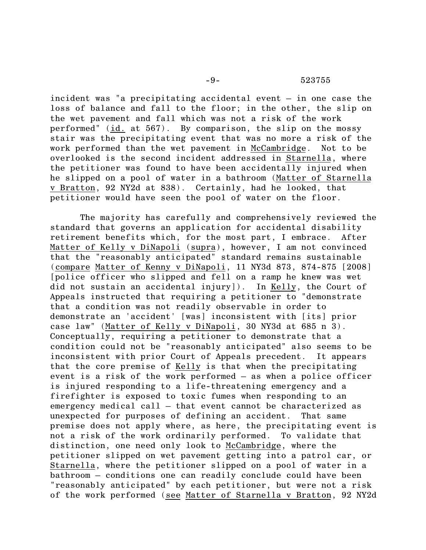incident was "a precipitating accidental event – in one case the loss of balance and fall to the floor; in the other, the slip on the wet pavement and fall which was not a risk of the work performed" (id. at 567). By comparison, the slip on the mossy stair was the precipitating event that was no more a risk of the work performed than the wet pavement in McCambridge. Not to be overlooked is the second incident addressed in Starnella, where the petitioner was found to have been accidentally injured when he slipped on a pool of water in a bathroom (Matter of Starnella v Bratton, 92 NY2d at 838). Certainly, had he looked, that petitioner would have seen the pool of water on the floor.

The majority has carefully and comprehensively reviewed the standard that governs an application for accidental disability retirement benefits which, for the most part, I embrace. After Matter of Kelly v DiNapoli (supra), however, I am not convinced that the "reasonably anticipated" standard remains sustainable (compare Matter of Kenny v DiNapoli, 11 NY3d 873, 874-875 [2008] [police officer who slipped and fell on a ramp he knew was wet did not sustain an accidental injury]). In Kelly, the Court of Appeals instructed that requiring a petitioner to "demonstrate that a condition was not readily observable in order to demonstrate an 'accident' [was] inconsistent with [its] prior case law" (Matter of Kelly v DiNapoli, 30 NY3d at 685 n 3). Conceptually, requiring a petitioner to demonstrate that a condition could not be "reasonably anticipated" also seems to be inconsistent with prior Court of Appeals precedent. It appears that the core premise of Kelly is that when the precipitating event is a risk of the work performed – as when a police officer is injured responding to a life-threatening emergency and a firefighter is exposed to toxic fumes when responding to an emergency medical call – that event cannot be characterized as unexpected for purposes of defining an accident. That same premise does not apply where, as here, the precipitating event is not a risk of the work ordinarily performed. To validate that distinction, one need only look to McCambridge, where the petitioner slipped on wet pavement getting into a patrol car, or Starnella, where the petitioner slipped on a pool of water in a bathroom – conditions one can readily conclude could have been "reasonably anticipated" by each petitioner, but were not a risk of the work performed (see Matter of Starnella v Bratton, 92 NY2d